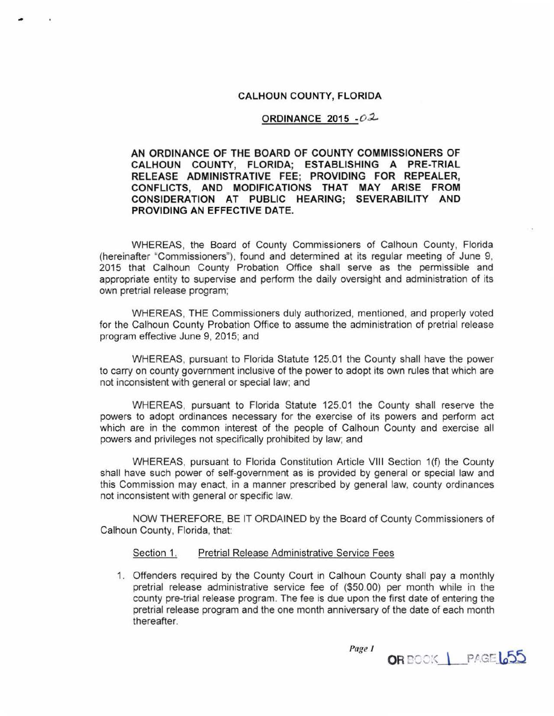## **CALHOUN COUNTY, FLORIDA**

#### **ORDINANCE 2015 -02**

# **AN ORDINANCE OF THE BOARD OF COUNTY COMMISSIONERS OF CALHOUN COUNTY, FLORIDA; ESTABLISHING A PRE-TRIAL RELEASE ADMINISTRATIVE FEE; PROVIDING FOR REPEALER, CONFLICTS, AND MODIFICATIONS THAT MAY ARISE FROM CONSIDERATION AT PUBLIC HEARING; SEVERABILITY AND PROVIDING AN EFFECTIVE DATE.**

WHEREAS, the Board of County Commissioners of Calhoun County, Florida (hereinafter "Commissioners"), found and determined at its regular meeting of June 9, 2015 that Calhoun County Probation Office shall serve as the permissible and appropriate entity to supervise and perform the daily oversight and administration of its own pretrial release program;

WHEREAS, THE Commissioners duly authorized, mentioned, and properly voted for the Calhoun County Probation Office to assume the administration of pretrial release program effective June 9, 2015; and

WHEREAS, pursuant to Florida Statute 125.01 the County shall have the power to carry on county government inclusive of the power to adopt its own rules that which are not inconsistent with general or special law; and

WHEREAS, pursuant to Florida Statute 125.01 the County shall reserve the powers to adopt ordinances necessary for the exercise of its powers and perform act which are in the common interest of the people of Calhoun County and exercise all powers and privileges not specifically prohibited by law; and

WHEREAS, pursuant to Florida Constitution Article VIII Section 1(f) the County shall have such power of self-government as is provided by general or special law and this Commission may enact, in a manner prescribed by general law, county ordinances not inconsistent with general or specific law.

NOW THEREFORE, BE IT ORDAINED by the Board of County Commissioners of Calhoun County, Florida, that:

#### Section 1. Pretrial Release Administrative Service Fees

1. Offenders required by the County Court in Calhoun County shall pay a monthly pretrial release administrative service fee of (\$50.00) per month while in the county pre-trial release program. The fee is due upon the first date of entering the pretrial release program and the one month anniversary of the date of each month thereafter.

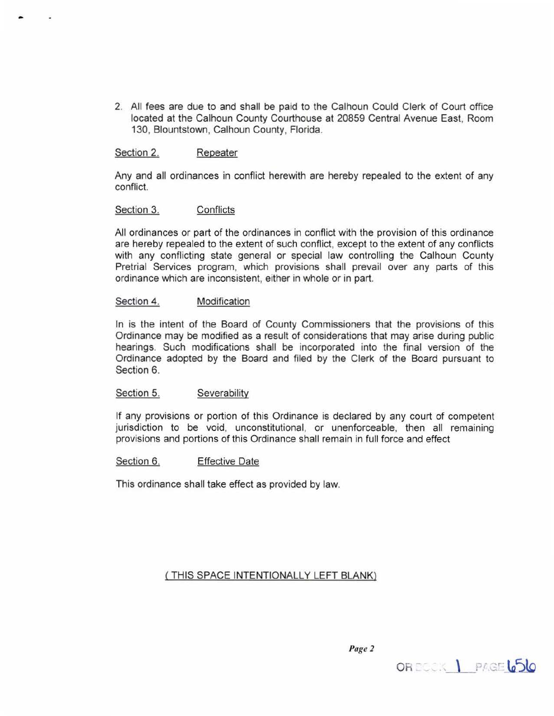2. All fees are due to and shall be paid to the Calhoun Could Clerk of Court office located at the Calhoun County Courthouse at 20859 Central Avenue East, Room 130, Blountstown, Calhoun County, Florida.

# Section 2. Repeater

Any and all ordinances in conflict herewith are hereby repealed to the extent of any conflict.

# Section 3. Conflicts

All ordinances or part of the ordinances in conflict with the provision of this ordinance are hereby repealed to the extent of such conflict, except to the extent of any conflicts with any conflicting state general or special law controlling the Calhoun County Pretrial Services program, which provisions shall prevail over any parts of this ordinance which are inconsistent, either in whole or in part.

## Section 4. Modification

In is the intent of the Board of County Commissioners that the provisions of this Ordinance may be modified as a result of considerations that may arise during public hearings. Such modifications shall be incorporated into the final version of the Ordinance adopted by the Board and filed by the Clerk of the Board pursuant to Section 6.

# Section 5. Severability

If any provisions or portion of this Ordinance is declared by any court of competent jurisdiction to be void, unconstitutional, or unenforceable, then all remaining provisions and portions of this Ordinance shall remain in full force and effect

# Section 6. Effective Date

This ordinance shall take effect as provided by law.

( THIS SPACE INTENTIONALLY LEFT BLANK)

Page 2